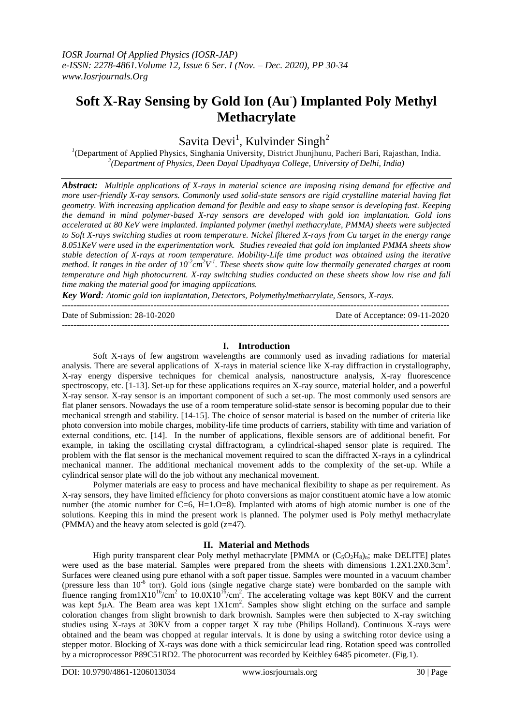# **Soft X-Ray Sensing by Gold Ion (Au- ) Implanted Poly Methyl Methacrylate**

Savita Devi<sup>1</sup>, Kulvinder Singh<sup>2</sup>

*1* (Department of Applied Physics, Singhania University, District Jhunjhunu, Pacheri Bari, Rajasthan, India. *2 (Department of Physics, Deen Dayal Upadhyaya College, University of Delhi, India)*

*Abstract: Multiple applications of X-rays in material science are imposing rising demand for effective and more user-friendly X-ray sensors. Commonly used solid-state sensors are rigid crystalline material having flat geometry. With increasing application demand for flexible and easy to shape sensor is developing fast. Keeping the demand in mind polymer-based X-ray sensors are developed with gold ion implantation. Gold ions accelerated at 80 KeV were implanted. Implanted polymer (methyl methacrylate, PMMA) sheets were subjected to Soft X-rays switching studies at room temperature. Nickel filtered X-rays from Cu target in the energy range 8.051KeV were used in the experimentation work. Studies revealed that gold ion implanted PMMA sheets show stable detection of X-rays at room temperature. Mobility-Life time product was obtained using the iterative*  method. It ranges in the order of  $10^2$ cm<sup>2</sup>V<sup>-1</sup>. These sheets show quite low thermally generated charges at room *temperature and high photocurrent. X-ray switching studies conducted on these sheets show low rise and fall time making the material good for imaging applications.*

*Key Word: Atomic gold ion implantation, Detectors, Polymethylmethacrylate, Sensors, X-rays.*

--------------------------------------------------------------------------------------------------------------------------------------- Date of Acceptance: 09-11-2020 ---------------------------------------------------------------------------------------------------------------------------------------

## **I. Introduction**

Soft X-rays of few angstrom wavelengths are commonly used as invading radiations for material analysis. There are several applications of X-rays in material science like X-ray diffraction in crystallography, X-ray energy dispersive techniques for chemical analysis, nanostructure analysis, X-ray fluorescence spectroscopy, etc. [1-13]. Set-up for these applications requires an X-ray source, material holder, and a powerful X-ray sensor. X-ray sensor is an important component of such a set-up. The most commonly used sensors are flat planer sensors. Nowadays the use of a room temperature solid-state sensor is becoming popular due to their mechanical strength and stability. [14-15]. The choice of sensor material is based on the number of criteria like photo conversion into mobile charges, mobility-life time products of carriers, stability with time and variation of external conditions, etc. [14]. In the number of applications, flexible sensors are of additional benefit. For example, in taking the oscillating crystal diffractogram, a cylindrical-shaped sensor plate is required. The problem with the flat sensor is the mechanical movement required to scan the diffracted X-rays in a cylindrical mechanical manner. The additional mechanical movement adds to the complexity of the set-up. While a cylindrical sensor plate will do the job without any mechanical movement.

Polymer materials are easy to process and have mechanical flexibility to shape as per requirement. As X-ray sensors, they have limited efficiency for photo conversions as major constituent atomic have a low atomic number (the atomic number for C=6, H=1.O=8). Implanted with atoms of high atomic number is one of the solutions. Keeping this in mind the present work is planned. The polymer used is Poly methyl methacrylate (PMMA) and the heavy atom selected is gold (z=47).

## **II. Material and Methods**

High purity transparent clear Poly methyl methacrylate [PMMA or  $(C_5O_2H_8)_{n}$ ; make DELITE] plates were used as the base material. Samples were prepared from the sheets with dimensions 1.2X1.2X0.3cm<sup>3</sup>. Surfaces were cleaned using pure ethanol with a soft paper tissue. Samples were mounted in a vacuum chamber (pressure less than 10<sup>-6</sup> torr). Gold ions (single negative charge state) were bombarded on the sample with fluence ranging from1X10<sup>16</sup>/cm<sup>2</sup> to 10.0X10<sup>16</sup>/cm<sup>2</sup>. The accelerating voltage was kept 80KV and the current was kept 5μA. The Beam area was kept 1X1cm<sup>2</sup>. Samples show slight etching on the surface and sample coloration changes from slight brownish to dark brownish. Samples were then subjected to X-ray switching studies using X-rays at 30KV from a copper target X ray tube (Philips Holland). Continuous X-rays were obtained and the beam was chopped at regular intervals. It is done by using a switching rotor device using a stepper motor. Blocking of X-rays was done with a thick semicircular lead ring. Rotation speed was controlled by a microprocessor P89C51RD2. The photocurrent was recorded by Keithley 6485 picometer. (Fig.1).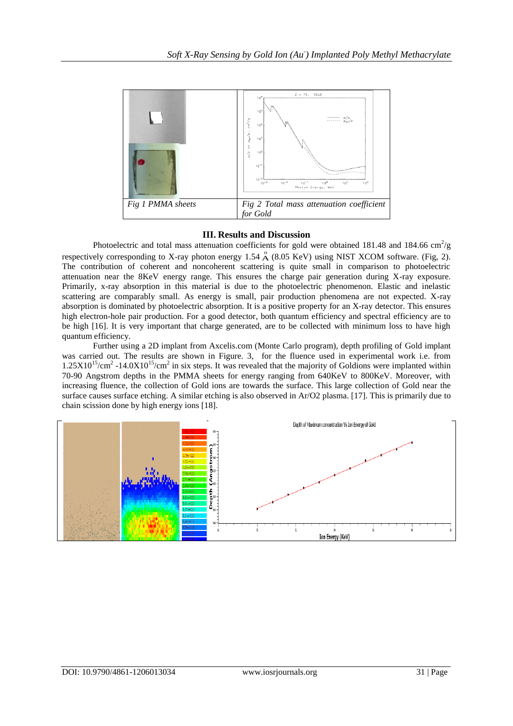

## **III. Results and Discussion**

Photoelectric and total mass attenuation coefficients for gold were obtained 181.48 and 184.66 cm<sup>2</sup>/g respectively corresponding to X-ray photon energy 1.54  $\stackrel{0}{A}$  (8.05 KeV) using NIST XCOM software. (Fig, 2). The contribution of coherent and noncoherent scattering is quite small in comparison to photoelectric attenuation near the 8KeV energy range. This ensures the charge pair generation during X-ray exposure. Primarily, x-ray absorption in this material is due to the photoelectric phenomenon. Elastic and inelastic scattering are comparably small. As energy is small, pair production phenomena are not expected. X-ray absorption is dominated by photoelectric absorption. It is a positive property for an X-ray detector. This ensures high electron-hole pair production. For a good detector, both quantum efficiency and spectral efficiency are to be high [16]. It is very important that charge generated, are to be collected with minimum loss to have high quantum efficiency.

Further using a 2D implant from Axcelis.com (Monte Carlo program), depth profiling of Gold implant was carried out. The results are shown in Figure. 3, for the fluence used in experimental work i.e. from  $1.25X10^{15}/cm^2$  -14.0X10<sup>15</sup>/cm<sup>2</sup> in six steps. It was revealed that the majority of Goldions were implanted within 70-90 Angstrom depths in the PMMA sheets for energy ranging from 640KeV to 800KeV. Moreover, with increasing fluence, the collection of Gold ions are towards the surface. This large collection of Gold near the surface causes surface etching. A similar etching is also observed in Ar/O2 plasma. [17]. This is primarily due to chain scission done by high energy ions [18].

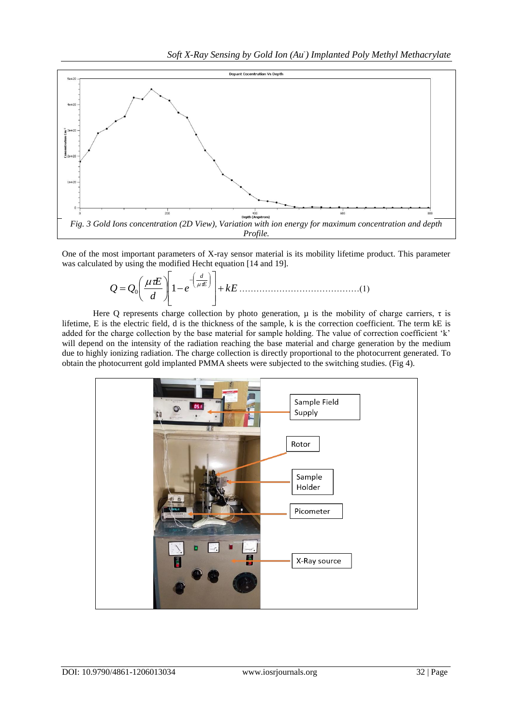

One of the most important parameters of X-ray sensor material is its mobility lifetime product. This parameter was calculated by using the modified Hecht equation [14 and 19].

*<sup>e</sup> k E d E Q Q E d* <sup>0</sup> 1 ……………………………………(1)

Here Q represents charge collection by photo generation,  $\mu$  is the mobility of charge carriers,  $\tau$  is lifetime, E is the electric field, d is the thickness of the sample, k is the correction coefficient. The term kE is added for the charge collection by the base material for sample holding. The value of correction coefficient 'k' will depend on the intensity of the radiation reaching the base material and charge generation by the medium due to highly ionizing radiation. The charge collection is directly proportional to the photocurrent generated. To obtain the photocurrent gold implanted PMMA sheets were subjected to the switching studies. (Fig 4).

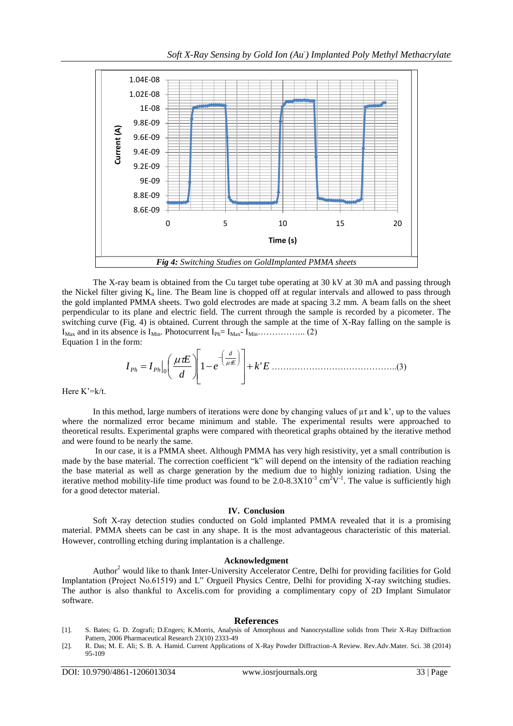

The X-ray beam is obtained from the Cu target tube operating at 30 kV at 30 mA and passing through the Nickel filter giving  $K_a$  line. The Beam line is chopped off at regular intervals and allowed to pass through the gold implanted PMMA sheets. Two gold electrodes are made at spacing 3.2 mm. A beam falls on the sheet perpendicular to its plane and electric field. The current through the sample is recorded by a picometer. The switching curve (Fig. 4) is obtained. Current through the sample at the time of X-Ray falling on the sample is IMax and in its absence is IMin. Photocurrent IPh= IMax- IMin…………….. (2) Equation 1 in the form:

*e k E d E I I E d Ph Ph* 1 ' 0 ……………………………………..(3)

Here K'=k/t.

In this method, large numbers of iterations were done by changing values of  $\mu\tau$  and k', up to the values where the normalized error became minimum and stable. The experimental results were approached to theoretical results. Experimental graphs were compared with theoretical graphs obtained by the iterative method and were found to be nearly the same.

In our case, it is a PMMA sheet. Although PMMA has very high resistivity, yet a small contribution is made by the base material. The correction coefficient "k" will depend on the intensity of the radiation reaching the base material as well as charge generation by the medium due to highly ionizing radiation. Using the iterative method mobility-life time product was found to be  $2.0{\text -}8.3X10^3$  cm<sup>2</sup>V<sup>-1</sup>. The value is sufficiently high for a good detector material.

#### **IV. Conclusion**

Soft X-ray detection studies conducted on Gold implanted PMMA revealed that it is a promising material. PMMA sheets can be cast in any shape. It is the most advantageous characteristic of this material. However, controlling etching during implantation is a challenge.

### **Acknowledgment**

Author<sup>2</sup> would like to thank Inter-University Accelerator Centre, Delhi for providing facilities for Gold Implantation (Project No.61519) and L" Orgueil Physics Centre, Delhi for providing X-ray switching studies. The author is also thankful to Axcelis.com for providing a complimentary copy of 2D Implant Simulator software.

#### **References**

- [1]. S. Bates; G. D. Zografi; D.Engers; K.Morris, Analysis of Amorphous and Nanocrystalline solids from Their X-Ray Diffraction Pattern, 2006 Pharmaceutical Research 23(10) 2333-49
- [2]. R. Das; M. E. Ali; S. B. A. Hamid. Current Applications of X-Ray Powder Diffraction-A Review. Rev.Adv.Mater. Sci. 38 (2014) 95-109